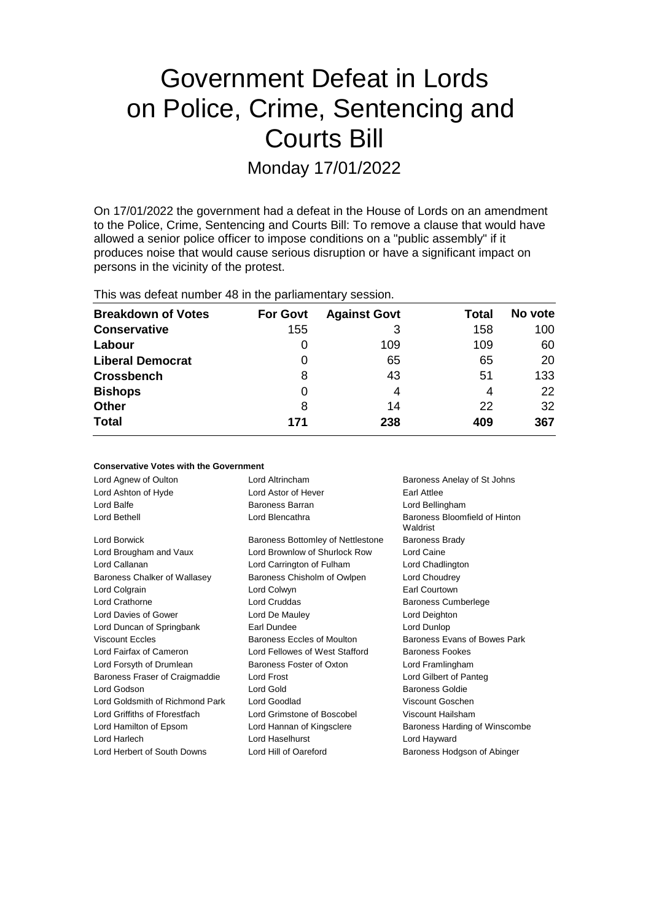# Government Defeat in Lords on Police, Crime, Sentencing and Courts Bill

Monday 17/01/2022

On 17/01/2022 the government had a defeat in the House of Lords on an amendment to the Police, Crime, Sentencing and Courts Bill: To remove a clause that would have allowed a senior police officer to impose conditions on a "public assembly" if it produces noise that would cause serious disruption or have a significant impact on persons in the vicinity of the protest.

This was defeat number 48 in the parliamentary session.

| <b>Breakdown of Votes</b> | <b>For Govt</b> | <b>Against Govt</b> | Total | No vote |
|---------------------------|-----------------|---------------------|-------|---------|
| <b>Conservative</b>       | 155             | 3                   | 158   | 100     |
| Labour                    | 0               | 109                 | 109   | 60      |
| <b>Liberal Democrat</b>   | 0               | 65                  | 65    | 20      |
| <b>Crossbench</b>         | 8               | 43                  | 51    | 133     |
| <b>Bishops</b>            | 0               | 4                   | 4     | 22      |
| <b>Other</b>              | 8               | 14                  | 22    | 32      |
| <b>Total</b>              | 171             | 238                 | 409   | 367     |

| <b>Conservative Votes with the Government</b> |  |  |  |  |  |
|-----------------------------------------------|--|--|--|--|--|
|-----------------------------------------------|--|--|--|--|--|

| Lord Agnew of Oulton            | Lord Altrincham                   | Baroness Anelay of St Johns               |
|---------------------------------|-----------------------------------|-------------------------------------------|
| Lord Ashton of Hyde             | Lord Astor of Hever               | Earl Attlee                               |
| Lord Balfe                      | Baroness Barran                   | Lord Bellingham                           |
| Lord Bethell                    | Lord Blencathra                   | Baroness Bloomfield of Hinton<br>Waldrist |
| Lord Borwick                    | Baroness Bottomley of Nettlestone | <b>Baroness Brady</b>                     |
| Lord Brougham and Vaux          | Lord Brownlow of Shurlock Row     | Lord Caine                                |
| Lord Callanan                   | Lord Carrington of Fulham         | Lord Chadlington                          |
| Baroness Chalker of Wallasey    | Baroness Chisholm of Owlpen       | Lord Choudrey                             |
| Lord Colgrain                   | Lord Colwyn                       | <b>Earl Courtown</b>                      |
| Lord Crathorne                  | <b>Lord Cruddas</b>               | <b>Baroness Cumberlege</b>                |
| Lord Davies of Gower            | Lord De Mauley                    | Lord Deighton                             |
| Lord Duncan of Springbank       | Earl Dundee                       | Lord Dunlop                               |
| Viscount Feeles                 | Baroness Eccles of Moulton        | Baroness Evans of Bowes Park              |
| Lord Fairfax of Cameron         | Lord Fellowes of West Stafford    | Baroness Fookes                           |
| Lord Forsyth of Drumlean        | Baroness Foster of Oxton          | Lord Framlingham                          |
| Baroness Fraser of Craigmaddie  | Lord Frost                        | Lord Gilbert of Panteg                    |
| Lord Godson                     | Lord Gold                         | <b>Baroness Goldie</b>                    |
| Lord Goldsmith of Richmond Park | Lord Goodlad                      | Viscount Goschen                          |
| Lord Griffiths of Fforestfach   | Lord Grimstone of Boscobel        | Viscount Hailsham                         |
| Lord Hamilton of Epsom          | Lord Hannan of Kingsclere         | Baroness Harding of Winscombe             |
| Lord Harlech                    | Lord Haselhurst                   | Lord Hayward                              |
| Lord Herbert of South Downs     | Lord Hill of Oareford             | Baroness Hodgson of Abinger               |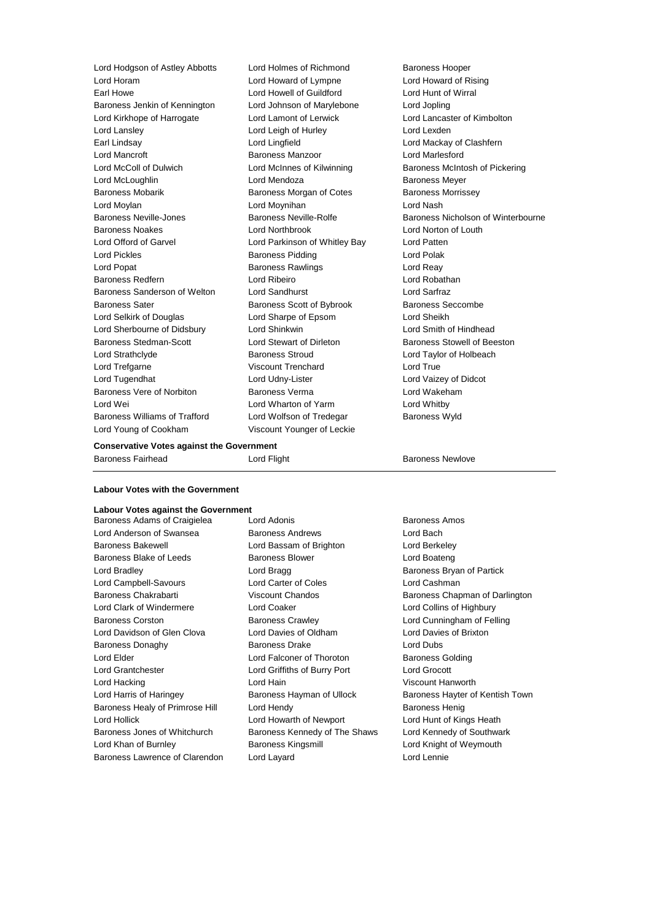Lord Hodgson of Astley Abbotts Lord Holmes of Richmond Baroness Hooper Lord Horam Lord Howard of Lympne Lord Howard of Rising Earl Howe Lord Howell of Guildford Lord Hunt of Wirral Baroness Jenkin of Kennington Lord Johnson of Marylebone Lord Jopling Lord Kirkhope of Harrogate Lord Lamont of Lerwick Lord Lancaster of Kimbolton Lord Lansley **Lord Leigh of Hurley** Lord Lexden Earl Lindsay Lord Lingfield Lord Mackay of Clashfern Lord Mancroft Baroness Manzoor Lord Marlesford Lord McColl of Dulwich Lord McInnes of Kilwinning Baroness McIntosh of Pickering Lord McLoughlin Lord Mendoza Baroness Meyer Baroness Mobarik Baroness Morgan of Cotes Baroness Morrissey Lord Moylan Lord Moynihan Lord Nash Baroness Neville-Jones **Baroness Neville-Rolfe** Baroness Nicholson of Winterbourne Baroness Noakes Lord Northbrook Lord Norton of Louth Lord Offord of Garvel Lord Parkinson of Whitley Bay Lord Patten Lord Pickles **Baroness Pidding Lord Polak** Lord Polak Lord Popat **Baroness Rawlings** Lord Reay Baroness Redfern Lord Ribeiro Lord Robathan Baroness Sanderson of Welton Lord Sandhurst Lord Sarfraz Baroness Sater Baroness Scott of Bybrook Baroness Seccombe Lord Selkirk of Douglas Lord Sharpe of Epsom Lord Sheikh Lord Sherbourne of Didsbury Lord Shinkwin Lord Smith of Hindhead Baroness Stedman-Scott **Lord Stewart of Dirleton** Baroness Stowell of Beeston Lord Strathclyde Baroness Stroud Lord Taylor of Holbeach Lord Trefgarne **Viscount Trenchard** Lord True Lord Tugendhat Lord Udny-Lister Lord Vaizey of Didcot Baroness Vere of Norbiton Baroness Verma Lord Wakeham Lord Wei Lord Wharton of Yarm Lord Whitby Baroness Williams of Trafford Lord Wolfson of Tredegar Baroness Wyld Lord Young of Cookham Viscount Younger of Leckie

## **Conservative Votes against the Government**

| <u>oonoon vaarvo votoo agamot are Ooverminome</u> |             |                  |  |
|---------------------------------------------------|-------------|------------------|--|
| Baroness Fairhead                                 | Lord Flight | Baroness Newlove |  |
|                                                   |             |                  |  |

# **Labour Votes with the Government**

# **Labour Votes against the Government**

Lord Anderson of Swansea **Baroness Andrews** Lord Bach Baroness Bakewell Lord Bassam of Brighton Lord Berkeley Baroness Blake of Leeds Baroness Blower Controller and Boateng Lord Bradley **Lord Bragg Community** Lord Bragg **Baroness Bryan of Partick** Lord Campbell-Savours Lord Carter of Coles Lord Cashman Baroness Chakrabarti **Viscount Chandos** Baroness Chapman of Darlington Lord Clark of Windermere Lord Coaker Lord Collins of Highbury Baroness Corston Baroness Crawley Lord Cunningham of Felling Lord Davidson of Glen Clova Lord Davies of Oldham Lord Davies of Brixton Baroness Donaghy Baroness Drake Lord Dubs Lord Elder **Lord Falconer of Thoroton** Baroness Golding Lord Grantchester Lord Griffiths of Burry Port Lord Grocott Lord Hacking Lord Hain Viscount Hanworth Lord Harris of Haringey **Baroness Hayman of Ullock** Baroness Hayter of Kentish Town Baroness Healy of Primrose Hill Lord Hendy Contract Controller Baroness Henig Lord Hollick Lord Howarth of Newport Lord Hunt of Kings Heath Baroness Jones of Whitchurch Baroness Kennedy of The Shaws Lord Kennedy of Southwark Lord Khan of Burnley **Baroness Kingsmill** Lord Knight of Weymouth Baroness Lawrence of Clarendon Lord Layard Lord Lennie

Baroness Adams of Craigielea Lord Adonis **Baroness Amos** Baroness Amos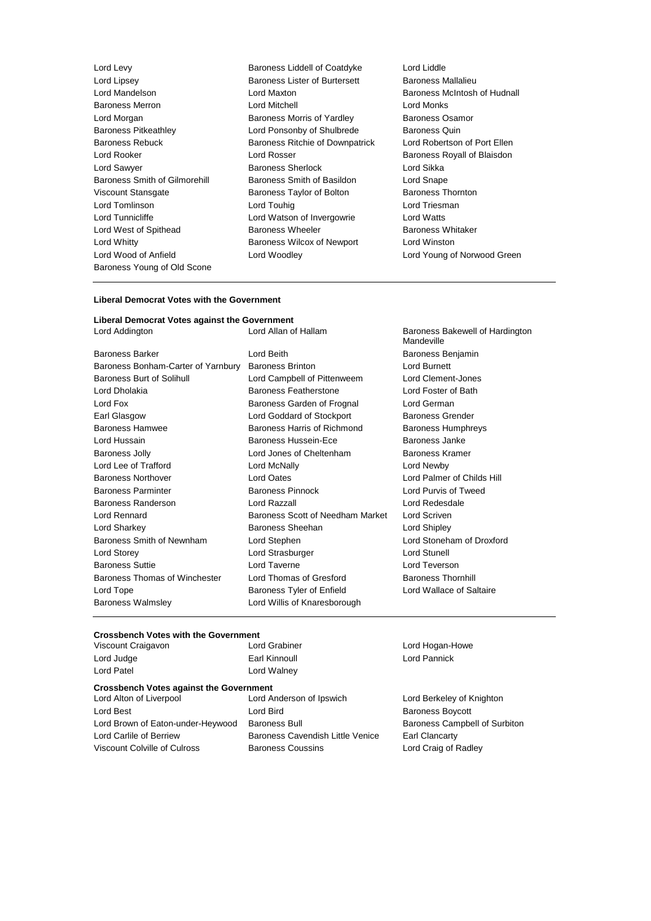Lord Morgan **Baroness Morris of Yardley** Baroness Young of Old Scone

Lord Levy Baroness Liddell of Coatdyke Lord Liddle Lord Lipsey **Baroness Lister of Burtersett** Baroness Mallalieu<br>
Lord Mandelson **Baroness Maxton**<br>
Lord Maxton **Baroness Mc**urtosh Lord Maxton **Lord Mandelson Lord Mandelson Baroness McIntosh of Hudnall**<br>
Lord Mitchell<br>
Lord Monks Baroness Merron **Example 2 Example 2 Lord Mitchell** Lord Monks<br>
Lord Morgan **Contract Control Contract Contract Baroness** Computer Contract Contract Baroness Osamor Baroness Pitkeathley **Lord Ponsonby of Shulbrede** Baroness Quin<br>Baroness Rebuck Baroness Ritchie of Downpatrick Lord Robertson Baroness Ritchie of Downpatrick Lord Robertson of Port Ellen Lord Rooker **Lord Rosser** Communications Communications Coronavia Communications Royall of Blaisdon Lord Sawyer **Baroness Sherlock** Lord Sikka<br>Baroness Smith of Gilmorehill Baroness Smith of Basildon Lord Snape Baroness Smith of Gilmorehill Baroness Smith of Basildon Lord Snape Viscount Stansgate **Baroness Taylor of Bolton** Baroness Thornton Lord Tomlinson **Lord Touhig Lord Touhig Lord Triesman** Lord Tunnicliffe Lord Watson of Invergowrie Lord Watts Lord West of Spithead **Baroness Wheeler** Baroness Wheeler Baroness Whitaker Lord Whitty Baroness Wilcox of Newport Lord Winston Lord Wood of Anfield Lord Woodley Lord Young of Norwood Green

#### **Liberal Democrat Votes with the Government**

# **Liberal Democrat Votes against the Government**

| Lord Allan of Hallam             | Baroness Bakewell of Hardington<br>Mandeville |
|----------------------------------|-----------------------------------------------|
| Lord Beith                       | Baroness Benjamin                             |
| <b>Baroness Brinton</b>          | <b>Lord Burnett</b>                           |
| Lord Campbell of Pittenweem      | Lord Clement-Jones                            |
| Baroness Featherstone            | Lord Foster of Bath                           |
| Baroness Garden of Frognal       | Lord German                                   |
| Lord Goddard of Stockport        | Baroness Grender                              |
| Baroness Harris of Richmond      | <b>Baroness Humphreys</b>                     |
| Baroness Hussein-Ece             | Baroness Janke                                |
| Lord Jones of Cheltenham         | Baroness Kramer                               |
| Lord McNally                     | Lord Newby                                    |
| Lord Oates                       | Lord Palmer of Childs Hill                    |
| <b>Baroness Pinnock</b>          | Lord Purvis of Tweed                          |
| Lord Razzall                     | Lord Redesdale                                |
| Baroness Scott of Needham Market | Lord Scriven                                  |
| Baroness Sheehan                 | Lord Shipley                                  |
| Lord Stephen                     | Lord Stoneham of Droxford                     |
| Lord Strasburger                 | <b>Lord Stunell</b>                           |
| Lord Taverne                     | Lord Teverson                                 |
| Lord Thomas of Gresford          | <b>Baroness Thornhill</b>                     |
| Baroness Tyler of Enfield        | Lord Wallace of Saltaire                      |
| Lord Willis of Knaresborough     |                                               |
|                                  | Baroness Bonham-Carter of Yarnbury            |

# **Crossbench Votes with the Government**<br>Viscount Craigayon<br>Lord Grabiner

Lord Judge **Earl Kinnoull** Earl Kinnoull **Lord Pannick** Lord Patel **Lord Walney** 

# **Crossbench Votes against the Government**

Lord Alton of Liverpool Lord Anderson of Ipswich Lord Berkeley of Knighton Lord Best **Lord Bird Constanting Lord Bird Baroness Boycott** Lord Brown of Eaton-under-Heywood Baroness Bull Baroness Campbell of Surbiton Lord Carlile of Berriew Baroness Cavendish Little Venice Earl Clancarty Viscount Colville of Culross **Baroness Coussins** Lord Craig of Radley

Viscount Craigavon Lord Grabiner Lord Hogan-Howe